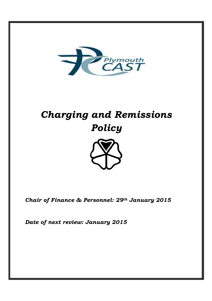

# *Charging and Remissions Policy*



*Chair of Finance & Personnel: 29th January 2015* 

*Date of next review: January 2015*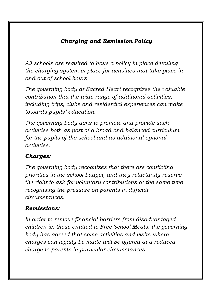## *Charging and Remission Policy*

*All schools are required to have a policy in place detailing the charging system in place for activities that take place in and out of school hours.* 

*The governing body at Sacred Heart recognizes the valuable contribution that the wide range of additional activities, including trips, clubs and residential experiences can make towards pupils' education.* 

*The governing body aims to promote and provide such activities both as part of a broad and balanced curriculum for the pupils of the school and as additional optional activities.* 

## *Charges:*

*The governing body recognizes that there are conflicting priorities in the school budget, and they reluctantly reserve the right to ask for voluntary contributions at the same time recognising the pressure on parents in difficult circumstances.* 

## *Remissions:*

*In order to remove financial barriers from disadvantaged children ie. those entitled to Free School Meals, the governing body has agreed that some activities and visits where charges can legally be made will be offered at a reduced charge to parents in particular circumstances.*